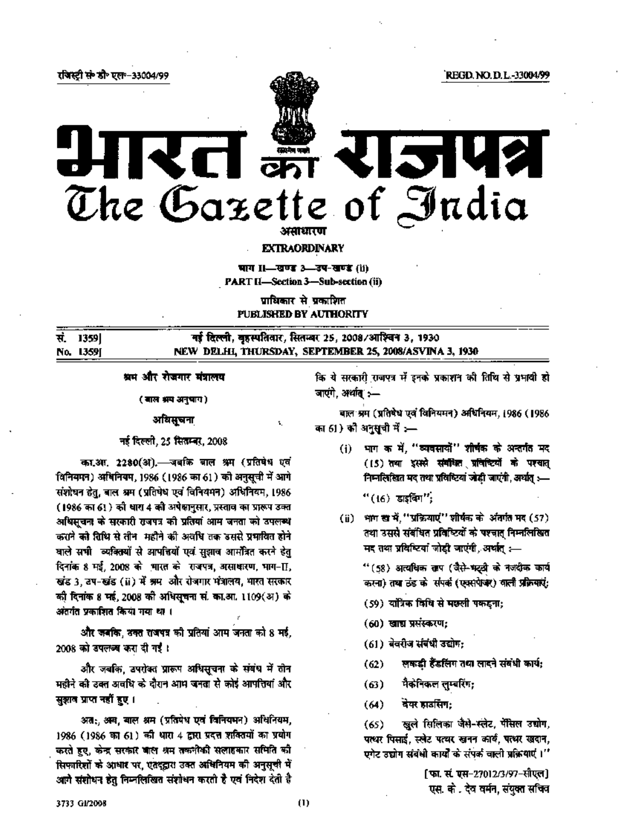रजिस्टी सं• डी॰ एल॰-33004/99





## **EXTRAORDINARY**

पाग 11-खण्ड 3-उप-खण्ड (ii)

**PART II-Section 3-Sub-section (ii)** 

पाथिकार से प्रकाशित PUBLISHED BY AUTHORITY

|           | सं 1359 | नई दिल्ली, बृहस्पतिवार, सितम्बर 25, 2008/आश्चिन 3, 1930 |
|-----------|---------|---------------------------------------------------------|
| No. 1359J |         | NEW DELHI, THURSDAY, SEPTEMBER 25, 2008/ASVINA 3, 1930  |

А.

श्रम और रोजगार मंत्रालय

(बाल अप अनुषाय)

## अयिसूचना

# नई दिल्ली, 25 सितम्बर, 2008

का.आ. 2280(अ).— जबकि बाल श्रम (प्रतिषेध एवं विनियमन) अधिनियम, 1986 (1986 का 61) को अनुसूची में आगे संशोधन हेतु, बाल श्रम (प्रतिषेध एवं विनियमन) अधिनियम, 1986 (1986 का 61) को धारा 4 को अपेक्षानुसार, प्रस्ताव का प्रारूप उक्त अधिसूचना के सरकारी राजपत्र को प्रतियां आम जनता को उपलब्ध कराने को तिथि से तीन-महीने की अवधि तक उससे प्रभावित होने वाले सभी व्यक्तियों से आपत्तियों एवं सझाव आर्मोत्रत करने हेतु दिनांक 8 मई, 2008 को भारत को राजपत्र, असाधारण, भाग-[], खंड 3, उप-खंड (ii) में श्रम और रोजगार मंत्रालय, भारत सरकार की दिनांक 8 मई, 2008 की अधिसूचना सं. का.आ. 1109(अ) के अंतर्गत प्रकाशित किया गया था ।

और जबकि, ठक्त राजपत्र को प्रतियां आम जनता को 8 मई, 2008 को डपलब्ब करा दी गई।

और जबकि, उपरोक्त प्रारूप अधिसूचना के संबंध में तोन महीने की उक्त अवधि के दौरान आप जनता से कोई आपत्तियां और सुझाव प्राप्त नहीं हुए ।

अतः, अय, बाल श्रम (प्रतिषेध एवं विनियमन) अधिनियम, 1986 (1986 का 61) की धारा 4 द्वारा प्रदत्त शक्तियों का प्रयोग करते हुए, केन्द्र सरकार बाल श्रम तकनीकी सलाहकार समिति की सिफारिशों के आधार पर, एतदड्ढारा उक्त अधिनियम की अनुसूची में आगे संशोधन हेतु निम्नलिखित संशोधन करती है एवं निदेश देती है कि ये सरकारी राजपत्र में इनके प्रकाशन की तिथि से प्रभावी हो जाएंगे, अर्थात :-

बाल श्रम (प्रतिषेध एवं विनियमन) अधिनियम, 1986 (1986 का 61) की अनुसूची में :—

- (i) भाग क में, "व्यवसायों" शीर्षक के अन्तर्गत मद (15) तथा इससे संबंधित प्रविच्चिमों के पश्यात् निम्नलिखित मद तथा प्रविष्टियां जोडी जाएंगी, अर्थात् :-- $"(16)$  डाइविंग $";$
- (ii) भाग ख में, "प्रक्रियाएं" शीर्षक के अंतर्गत मद (57) तथा उससे संबंधित प्रविष्टियों के पश्चात् निम्नलिखित मद तथा प्रविश्टियां जोडी जाएंगी, अर्थात् :--

" (58) अत्यधिक ताप (जैसे-भट्टी के नजदीक कार्य करना) तथा ठंड को संपर्क (एक्सपेखर) वाली प्रक्रियाएं:

- (59) यांत्रिक विधि से मछली पकदना;
- $(60)$  खाद्य प्रसंस्करण;
- (61) बेवरीज संबंधी उद्योग:
- लकड़ी हैंडलिंग तथा लादने संबंधी कार्य:  $(62)$
- मैकेनिकल लुम्बरिंग;  $(63)$
- वेक्स हाडसिंग:  $(64)$

खुले सिलिका जैसे-स्लेट, पेंसिल उद्योग,  $(65)$ पत्थर पिसाई, स्लोट पत्थर खनन कार्य, पत्थर खदान, एगेट उद्योग संबंधी कार्यों के संपर्क वाली प्रक्रियाएं ।''

> [फा. सं. एस-27012/3/97-सीएल] एस. को. देव वर्मन, संयुक्त सचिव